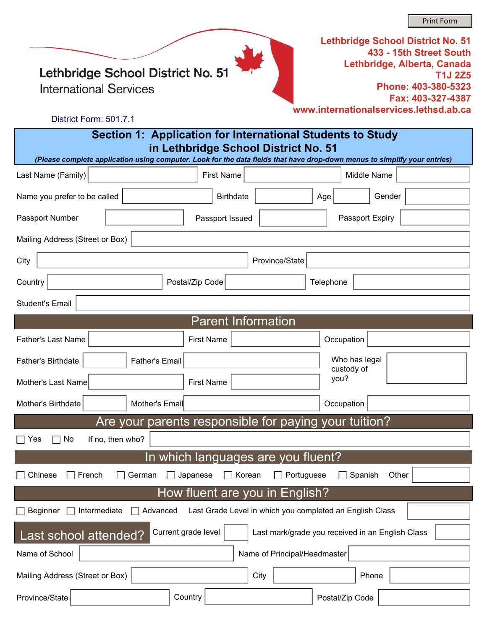Lethbridge School District No. 51

**International Services** 

**Lethbridge School District No. 51 433 - 15th Street South Lethbridge, Alberta, Canada T1J 2Z5 Phone: 403-380-5323 Fax: 403-327-4387 www.internationalservices.lethsd.ab.ca**

#### District Form: 501.7.1

### **Section 1: Application for International Students to Study in Lethbridge School District No. 51**

| (Please complete application using computer. Look for the data fields that have drop-down menus to simplify your entries)          |                                |                              |                                |  |  |
|------------------------------------------------------------------------------------------------------------------------------------|--------------------------------|------------------------------|--------------------------------|--|--|
| Last Name (Family)                                                                                                                 | <b>First Name</b>              |                              | Middle Name                    |  |  |
| Name you prefer to be called                                                                                                       | <b>Birthdate</b>               | Age                          | Gender<br>$\blacktriangledown$ |  |  |
| Passport Number                                                                                                                    | Passport Issued                | Passport Expiry              |                                |  |  |
| Mailing Address (Street or Box)                                                                                                    |                                |                              |                                |  |  |
| City                                                                                                                               |                                | Province/State               |                                |  |  |
| Country                                                                                                                            | Postal/Zip Code                | Telephone                    |                                |  |  |
| <b>Student's Email</b>                                                                                                             |                                |                              |                                |  |  |
|                                                                                                                                    | <b>Parent Information</b>      |                              |                                |  |  |
| <b>Father's Last Name</b>                                                                                                          | <b>First Name</b>              | Occupation                   |                                |  |  |
| <b>Father's Email</b><br>Father's Birthdate                                                                                        |                                | Who has legal<br>custody of  |                                |  |  |
| Mother's Last Name                                                                                                                 | <b>First Name</b>              | you?                         |                                |  |  |
| Mother's Birthdate<br>Mother's Email                                                                                               |                                | Occupation                   |                                |  |  |
| Are your parents responsible for paying your tuition?                                                                              |                                |                              |                                |  |  |
| $\Box$ Yes<br>If no, then who?<br>No                                                                                               |                                |                              |                                |  |  |
| In which languages are you fluent?                                                                                                 |                                |                              |                                |  |  |
| Chinese<br>French<br>German                                                                                                        | Japanese<br>Korean             | Portuguese<br>Spanish        | Other                          |  |  |
|                                                                                                                                    | How fluent are you in English? |                              |                                |  |  |
| $\overline{\mathbf{r}}$<br><b>Beginner</b><br>Intermediate<br>Last Grade Level in which you completed an English Class<br>Advanced |                                |                              |                                |  |  |
| Current grade level<br>Last mark/grade you received in an English Class<br>Last school attended?                                   |                                |                              |                                |  |  |
| Name of School                                                                                                                     |                                | Name of Principal/Headmaster |                                |  |  |
| Mailing Address (Street or Box)                                                                                                    |                                | City                         | Phone                          |  |  |
| Province/State                                                                                                                     | Country                        | Postal/Zip Code              |                                |  |  |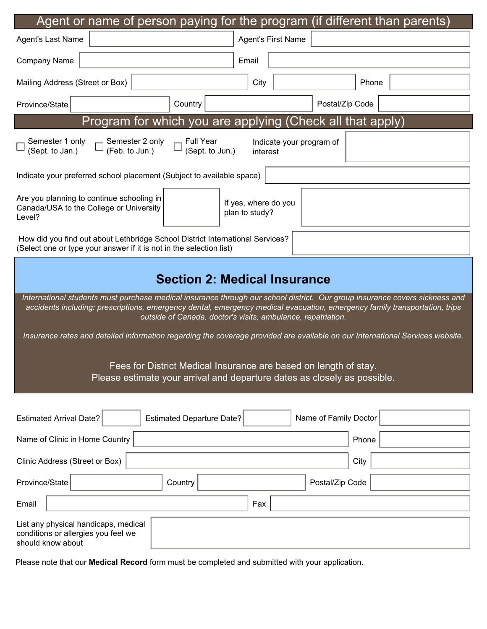| Agent or name of person paying for the program (if different than parents)                                                                                                                                                                                                                                                |  |  |  |  |
|---------------------------------------------------------------------------------------------------------------------------------------------------------------------------------------------------------------------------------------------------------------------------------------------------------------------------|--|--|--|--|
| <b>Agent's First Name</b><br>Agent's Last Name                                                                                                                                                                                                                                                                            |  |  |  |  |
| <b>Company Name</b><br>Email                                                                                                                                                                                                                                                                                              |  |  |  |  |
| City<br>Mailing Address (Street or Box)<br>Phone                                                                                                                                                                                                                                                                          |  |  |  |  |
| Postal/Zip Code<br>Country<br>Province/State                                                                                                                                                                                                                                                                              |  |  |  |  |
| Program for which you are applying (Check all that apply)                                                                                                                                                                                                                                                                 |  |  |  |  |
| Semester 2 only<br><b>Full Year</b><br>Semester 1 only<br>Indicate your program of<br>(Feb. to Jun.)<br>(Sept. to Jun.)<br>(Sept. to Jan.)<br>interest                                                                                                                                                                    |  |  |  |  |
| Indicate your preferred school placement (Subject to available space)                                                                                                                                                                                                                                                     |  |  |  |  |
| Are you planning to continue schooling in<br>If yes, where do you<br>Canada/USA to the College or University<br>plan to study?<br>Level?                                                                                                                                                                                  |  |  |  |  |
| How did you find out about Lethbridge School District International Services?<br>(Select one or type your answer if it is not in the selection list)                                                                                                                                                                      |  |  |  |  |
| <b>Section 2: Medical Insurance</b>                                                                                                                                                                                                                                                                                       |  |  |  |  |
| International students must purchase medical insurance through our school district. Our group insurance covers sickness and<br>accidents including: prescriptions, emergency dental, emergency medical evacuation, emergency family transportation, trips<br>outside of Canada, doctor's visits, ambulance, repatriation. |  |  |  |  |
| Insurance rates and detailed information regarding the coverage provided are available on our International Services website.                                                                                                                                                                                             |  |  |  |  |
| Fees for District Medical Insurance are based on length of stay.<br>Please estimate your arrival and departure dates as closely as possible.                                                                                                                                                                              |  |  |  |  |
| Name of Family Doctor<br><b>Estimated Arrival Date?</b><br><b>Estimated Departure Date?</b>                                                                                                                                                                                                                               |  |  |  |  |
| Name of Clinic in Home Country<br>Phone                                                                                                                                                                                                                                                                                   |  |  |  |  |
| City<br>Clinic Address (Street or Box)                                                                                                                                                                                                                                                                                    |  |  |  |  |
| Province/State<br>Postal/Zip Code<br>Country                                                                                                                                                                                                                                                                              |  |  |  |  |
| Email<br>Fax                                                                                                                                                                                                                                                                                                              |  |  |  |  |
| List any physical handicaps, medical<br>conditions or allergies you feel we<br>should know about                                                                                                                                                                                                                          |  |  |  |  |

Please note that our **Medical Record** form must be completed and submitted with your application.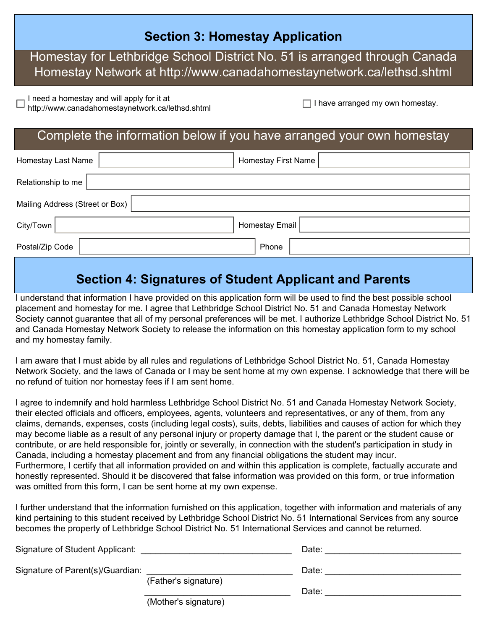### **Section 3: Homestay Application**

### Homestay for Lethbridge School District No. 51 is arranged through Canada Homestay Network at http://www.canadahomestaynetwork.ca/lethsd.shtml

I need a homestay and will apply for it at

http://www.canadahomestaynetwork.ca/lethsd.shtml I have arranged my own homestay.

### Complete the information below if you have arranged your own homestay

| Homestay Last Name              | <b>Homestay First Name</b> |  |  |  |
|---------------------------------|----------------------------|--|--|--|
| Relationship to me              |                            |  |  |  |
| Mailing Address (Street or Box) |                            |  |  |  |
| City/Town                       | Homestay Email             |  |  |  |
| Postal/Zip Code                 | Phone                      |  |  |  |
|                                 |                            |  |  |  |

### **Section 4: Signatures of Student Applicant and Parents**

I understand that information I have provided on this application form will be used to find the best possible school placement and homestay for me. I agree that Lethbridge School District No. 51 and Canada Homestay Network Society cannot guarantee that all of my personal preferences will be met. I authorize Lethbridge School District No. 51 and Canada Homestay Network Society to release the information on this homestay application form to my school and my homestay family.

I am aware that I must abide by all rules and regulations of Lethbridge School District No. 51, Canada Homestay Network Society, and the laws of Canada or I may be sent home at my own expense. I acknowledge that there will be no refund of tuition nor homestay fees if I am sent home.

I agree to indemnify and hold harmless Lethbridge School District No. 51 and Canada Homestay Network Society, their elected officials and officers, employees, agents, volunteers and representatives, or any of them, from any claims, demands, expenses, costs (including legal costs), suits, debts, liabilities and causes of action for which they may become liable as a result of any personal injury or property damage that I, the parent or the student cause or contribute, or are held responsible for, jointly or severally, in connection with the student's participation in study in Canada, including a homestay placement and from any financial obligations the student may incur. Furthermore, I certify that all information provided on and within this application is complete, factually accurate and honestly represented. Should it be discovered that false information was provided on this form, or true information was omitted from this form, I can be sent home at my own expense.

I further understand that the information furnished on this application, together with information and materials of any kind pertaining to this student received by Lethbridge School District No. 51 International Services from any source becomes the property of Lethbridge School District No. 51 International Services and cannot be returned.

| Signature of Student Applicant:  |                      | Date: |
|----------------------------------|----------------------|-------|
| Signature of Parent(s)/Guardian: | (Father's signature) | Date: |
|                                  |                      | Date: |
|                                  | (Mother's signature) |       |